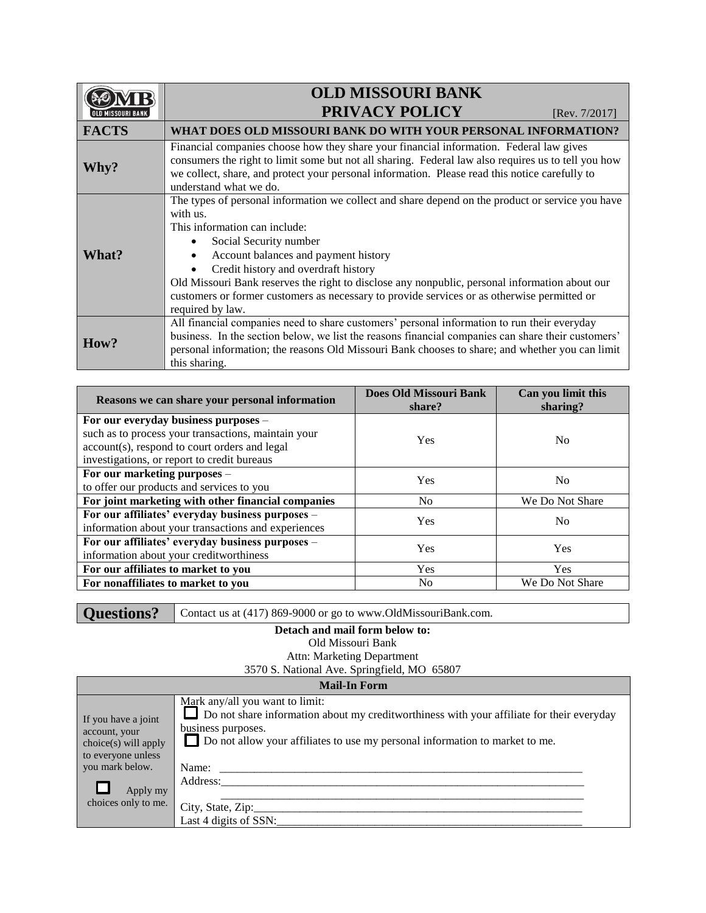|              | <b>OLD MISSOURI BANK</b>                                                                                                                                                                                                                                                                                                                                                                                                                                                     |
|--------------|------------------------------------------------------------------------------------------------------------------------------------------------------------------------------------------------------------------------------------------------------------------------------------------------------------------------------------------------------------------------------------------------------------------------------------------------------------------------------|
|              | <b>PRIVACY POLICY</b><br>[Rev. $7/2017$ ]                                                                                                                                                                                                                                                                                                                                                                                                                                    |
| <b>FACTS</b> | WHAT DOES OLD MISSOURI BANK DO WITH YOUR PERSONAL INFORMATION?                                                                                                                                                                                                                                                                                                                                                                                                               |
| Why?         | Financial companies choose how they share your financial information. Federal law gives<br>consumers the right to limit some but not all sharing. Federal law also requires us to tell you how<br>we collect, share, and protect your personal information. Please read this notice carefully to<br>understand what we do.                                                                                                                                                   |
| What?        | The types of personal information we collect and share depend on the product or service you have<br>with us.<br>This information can include:<br>Social Security number<br>Account balances and payment history<br>Credit history and overdraft history<br>Old Missouri Bank reserves the right to disclose any nonpublic, personal information about our<br>customers or former customers as necessary to provide services or as otherwise permitted or<br>required by law. |
| How?         | All financial companies need to share customers' personal information to run their everyday<br>business. In the section below, we list the reasons financial companies can share their customers'<br>personal information; the reasons Old Missouri Bank chooses to share; and whether you can limit<br>this sharing.                                                                                                                                                        |

| Reasons we can share your personal information                                                                                                      | Does Old Missouri Bank<br>share? | Can you limit this<br>sharing? |
|-----------------------------------------------------------------------------------------------------------------------------------------------------|----------------------------------|--------------------------------|
| For our everyday business purposes -                                                                                                                |                                  |                                |
| such as to process your transactions, maintain your<br>account(s), respond to court orders and legal<br>investigations, or report to credit bureaus | Yes                              | No                             |
| For our marketing purposes -<br>to offer our products and services to you                                                                           | <b>Yes</b>                       | N <sub>0</sub>                 |
| For joint marketing with other financial companies                                                                                                  | No.                              | We Do Not Share                |
| For our affiliates' everyday business purposes -<br>information about your transactions and experiences                                             | Yes                              | N <sub>0</sub>                 |
| For our affiliates' everyday business purposes -<br>information about your creditworthiness                                                         | Yes                              | Yes                            |
| For our affiliates to market to you                                                                                                                 | Yes                              | <b>Yes</b>                     |
| For nonaffiliates to market to you                                                                                                                  | N <sub>0</sub>                   | We Do Not Share                |

## **Detach and mail form below to:**

Old Missouri Bank

Attn: Marketing Department

3570 S. National Ave. Springfield, MO 65807

| <b>Mail-In Form</b>                                                                  |                                                                                                                                                                                                                                    |  |  |  |
|--------------------------------------------------------------------------------------|------------------------------------------------------------------------------------------------------------------------------------------------------------------------------------------------------------------------------------|--|--|--|
| If you have a joint<br>account, your<br>$choice(s)$ will apply<br>to everyone unless | Mark any/all you want to limit:<br>Do not share information about my creditworthiness with your affiliate for their everyday<br>business purposes.<br>Do not allow your affiliates to use my personal information to market to me. |  |  |  |
| you mark below.                                                                      | Name: $\frac{ }{ }$                                                                                                                                                                                                                |  |  |  |
| Apply my                                                                             | Address:                                                                                                                                                                                                                           |  |  |  |
| choices only to me.                                                                  |                                                                                                                                                                                                                                    |  |  |  |
|                                                                                      | City, State, Zip:<br>Last 4 digits of SSN:                                                                                                                                                                                         |  |  |  |